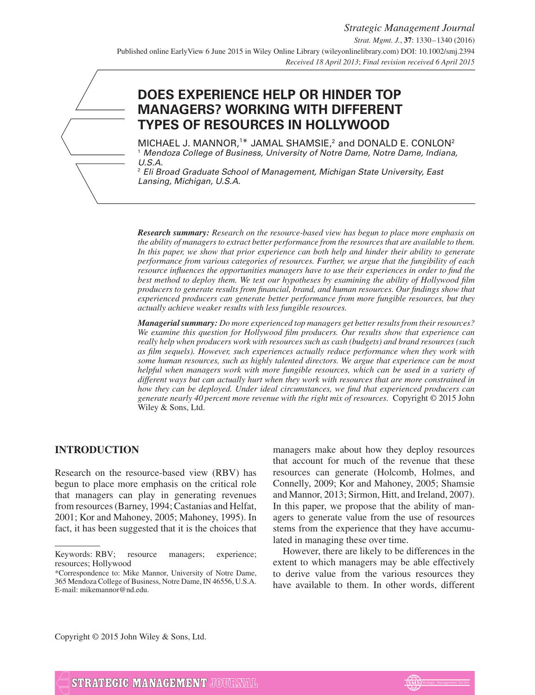# **DOES EXPERIENCE HELP OR HINDER TOP MANAGERS? WORKING WITH DIFFERENT TYPES OF RESOURCES IN HOLLYWOOD**

MICHAEL J. MANNOR, $1*$  JAMAL SHAMSIE, $2$  and DONALD E. CONLON $2$ <sup>1</sup> Mendoza College of Business, University of Notre Dame, Notre Dame, Indiana, U.S.A.

 $2$  Eli Broad Graduate School of Management, Michigan State University, East Lansing, Michigan, U.S.A.

*Research summary: Research on the resource-based view has begun to place more emphasis on the ability of managers to extract better performance from the resources that are available to them. In this paper, we show that prior experience can both help and hinder their ability to generate performance from various categories of resources. Further, we argue that the fungibility of each resource influences the opportunities managers have to use their experiences in order to find the best method to deploy them. We test our hypotheses by examining the ability of Hollywood film producers to generate results from financial, brand, and human resources. Our findings show that experienced producers can generate better performance from more fungible resources, but they actually achieve weaker results with less fungible resources.*

*Managerial summary: Do more experienced top managers get better results from their resources? We examine this question for Hollywood film producers. Our results show that experience can really help when producers work with resources such as cash (budgets) and brand resources (such as film sequels). However, such experiences actually reduce performance when they work with some human resources, such as highly talented directors. We argue that experience can be most helpful when managers work with more fungible resources, which can be used in a variety of different ways but can actually hurt when they work with resources that are more constrained in how they can be deployed. Under ideal circumstances, we find that experienced producers can generate nearly 40 percent more revenue with the right mix of resources.* Copyright © 2015 John Wiley & Sons, Ltd.

# **INTRODUCTION**

Research on the resource-based view (RBV) has begun to place more emphasis on the critical role that managers can play in generating revenues from resources (Barney, 1994; Castanias and Helfat, 2001; Kor and Mahoney, 2005; Mahoney, 1995). In fact, it has been suggested that it is the choices that managers make about how they deploy resources that account for much of the revenue that these resources can generate (Holcomb, Holmes, and Connelly, 2009; Kor and Mahoney, 2005; Shamsie and Mannor, 2013; Sirmon, Hitt, and Ireland, 2007). In this paper, we propose that the ability of managers to generate value from the use of resources stems from the experience that they have accumulated in managing these over time.

However, there are likely to be differences in the extent to which managers may be able effectively to derive value from the various resources they have available to them. In other words, different

Copyright © 2015 John Wiley & Sons, Ltd.



Keywords: RBV; resource managers; experience; resources; Hollywood

<sup>\*</sup>Correspondence to: Mike Mannor, University of Notre Dame, 365 Mendoza College of Business, Notre Dame, IN 46556, U.S.A. E-mail: mikemannor@nd.edu.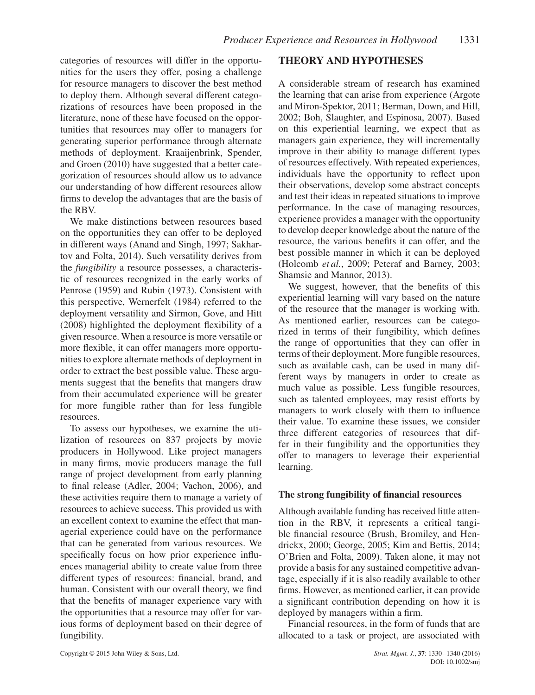categories of resources will differ in the opportunities for the users they offer, posing a challenge for resource managers to discover the best method to deploy them. Although several different categorizations of resources have been proposed in the literature, none of these have focused on the opportunities that resources may offer to managers for generating superior performance through alternate methods of deployment. Kraaijenbrink, Spender, and Groen (2010) have suggested that a better categorization of resources should allow us to advance our understanding of how different resources allow firms to develop the advantages that are the basis of the RBV.

We make distinctions between resources based on the opportunities they can offer to be deployed in different ways (Anand and Singh, 1997; Sakhartov and Folta, 2014). Such versatility derives from the *fungibility* a resource possesses, a characteristic of resources recognized in the early works of Penrose (1959) and Rubin (1973). Consistent with this perspective, Wernerfelt (1984) referred to the deployment versatility and Sirmon, Gove, and Hitt (2008) highlighted the deployment flexibility of a given resource. When a resource is more versatile or more flexible, it can offer managers more opportunities to explore alternate methods of deployment in order to extract the best possible value. These arguments suggest that the benefits that mangers draw from their accumulated experience will be greater for more fungible rather than for less fungible resources.

To assess our hypotheses, we examine the utilization of resources on 837 projects by movie producers in Hollywood. Like project managers in many firms, movie producers manage the full range of project development from early planning to final release (Adler, 2004; Vachon, 2006), and these activities require them to manage a variety of resources to achieve success. This provided us with an excellent context to examine the effect that managerial experience could have on the performance that can be generated from various resources. We specifically focus on how prior experience influences managerial ability to create value from three different types of resources: financial, brand, and human. Consistent with our overall theory, we find that the benefits of manager experience vary with the opportunities that a resource may offer for various forms of deployment based on their degree of fungibility.

## **THEORY AND HYPOTHESES**

A considerable stream of research has examined the learning that can arise from experience (Argote and Miron-Spektor, 2011; Berman, Down, and Hill, 2002; Boh, Slaughter, and Espinosa, 2007). Based on this experiential learning, we expect that as managers gain experience, they will incrementally improve in their ability to manage different types of resources effectively. With repeated experiences, individuals have the opportunity to reflect upon their observations, develop some abstract concepts and test their ideas in repeated situations to improve performance. In the case of managing resources, experience provides a manager with the opportunity to develop deeper knowledge about the nature of the resource, the various benefits it can offer, and the best possible manner in which it can be deployed (Holcomb *et al.*, 2009; Peteraf and Barney, 2003; Shamsie and Mannor, 2013).

We suggest, however, that the benefits of this experiential learning will vary based on the nature of the resource that the manager is working with. As mentioned earlier, resources can be categorized in terms of their fungibility, which defines the range of opportunities that they can offer in terms of their deployment. More fungible resources, such as available cash, can be used in many different ways by managers in order to create as much value as possible. Less fungible resources, such as talented employees, may resist efforts by managers to work closely with them to influence their value. To examine these issues, we consider three different categories of resources that differ in their fungibility and the opportunities they offer to managers to leverage their experiential learning.

#### **The strong fungibility of financial resources**

Although available funding has received little attention in the RBV, it represents a critical tangible financial resource (Brush, Bromiley, and Hendrickx, 2000; George, 2005; Kim and Bettis, 2014; O'Brien and Folta, 2009). Taken alone, it may not provide a basis for any sustained competitive advantage, especially if it is also readily available to other firms. However, as mentioned earlier, it can provide a significant contribution depending on how it is deployed by managers within a firm.

Financial resources, in the form of funds that are allocated to a task or project, are associated with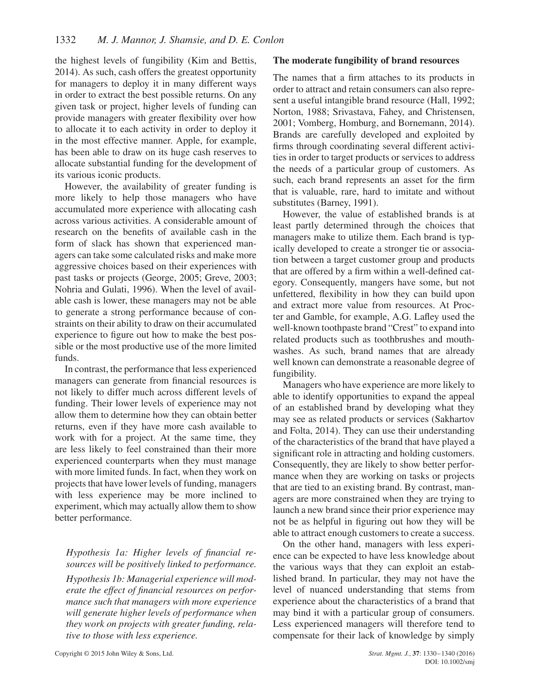the highest levels of fungibility (Kim and Bettis, 2014). As such, cash offers the greatest opportunity for managers to deploy it in many different ways in order to extract the best possible returns. On any given task or project, higher levels of funding can provide managers with greater flexibility over how to allocate it to each activity in order to deploy it in the most effective manner. Apple, for example, has been able to draw on its huge cash reserves to allocate substantial funding for the development of its various iconic products.

However, the availability of greater funding is more likely to help those managers who have accumulated more experience with allocating cash across various activities. A considerable amount of research on the benefits of available cash in the form of slack has shown that experienced managers can take some calculated risks and make more aggressive choices based on their experiences with past tasks or projects (George, 2005; Greve, 2003; Nohria and Gulati, 1996). When the level of available cash is lower, these managers may not be able to generate a strong performance because of constraints on their ability to draw on their accumulated experience to figure out how to make the best possible or the most productive use of the more limited funds.

In contrast, the performance that less experienced managers can generate from financial resources is not likely to differ much across different levels of funding. Their lower levels of experience may not allow them to determine how they can obtain better returns, even if they have more cash available to work with for a project. At the same time, they are less likely to feel constrained than their more experienced counterparts when they must manage with more limited funds. In fact, when they work on projects that have lower levels of funding, managers with less experience may be more inclined to experiment, which may actually allow them to show better performance.

## *Hypothesis 1a: Higher levels of financial resources will be positively linked to performance.*

*Hypothesis 1b: Managerial experience will moderate the effect of financial resources on performance such that managers with more experience will generate higher levels of performance when they work on projects with greater funding, relative to those with less experience.*

#### **The moderate fungibility of brand resources**

The names that a firm attaches to its products in order to attract and retain consumers can also represent a useful intangible brand resource (Hall, 1992; Norton, 1988; Srivastava, Fahey, and Christensen, 2001; Vomberg, Homburg, and Bornemann, 2014). Brands are carefully developed and exploited by firms through coordinating several different activities in order to target products or services to address the needs of a particular group of customers. As such, each brand represents an asset for the firm that is valuable, rare, hard to imitate and without substitutes (Barney, 1991).

However, the value of established brands is at least partly determined through the choices that managers make to utilize them. Each brand is typically developed to create a stronger tie or association between a target customer group and products that are offered by a firm within a well-defined category. Consequently, mangers have some, but not unfettered, flexibility in how they can build upon and extract more value from resources. At Procter and Gamble, for example, A.G. Lafley used the well-known toothpaste brand "Crest" to expand into related products such as toothbrushes and mouthwashes. As such, brand names that are already well known can demonstrate a reasonable degree of fungibility.

Managers who have experience are more likely to able to identify opportunities to expand the appeal of an established brand by developing what they may see as related products or services (Sakhartov and Folta, 2014). They can use their understanding of the characteristics of the brand that have played a significant role in attracting and holding customers. Consequently, they are likely to show better performance when they are working on tasks or projects that are tied to an existing brand. By contrast, managers are more constrained when they are trying to launch a new brand since their prior experience may not be as helpful in figuring out how they will be able to attract enough customers to create a success.

On the other hand, managers with less experience can be expected to have less knowledge about the various ways that they can exploit an established brand. In particular, they may not have the level of nuanced understanding that stems from experience about the characteristics of a brand that may bind it with a particular group of consumers. Less experienced managers will therefore tend to compensate for their lack of knowledge by simply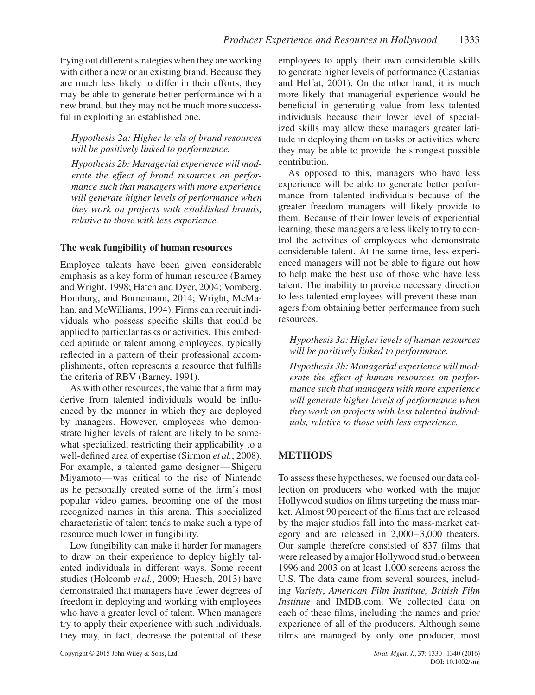trying out different strategies when they are working with either a new or an existing brand. Because they are much less likely to differ in their efforts, they may be able to generate better performance with a new brand, but they may not be much more successful in exploiting an established one.

*Hypothesis 2a: Higher levels of brand resources will be positively linked to performance.*

*Hypothesis 2b: Managerial experience will moderate the effect of brand resources on performance such that managers with more experience will generate higher levels of performance when they work on projects with established brands, relative to those with less experience.*

# **The weak fungibility of human resources**

Employee talents have been given considerable emphasis as a key form of human resource (Barney and Wright, 1998; Hatch and Dyer, 2004; Vomberg, Homburg, and Bornemann, 2014; Wright, McMahan, and McWilliams, 1994). Firms can recruit individuals who possess specific skills that could be applied to particular tasks or activities. This embedded aptitude or talent among employees, typically reflected in a pattern of their professional accomplishments, often represents a resource that fulfills the criteria of RBV (Barney, 1991).

As with other resources, the value that a firm may derive from talented individuals would be influenced by the manner in which they are deployed by managers. However, employees who demonstrate higher levels of talent are likely to be somewhat specialized, restricting their applicability to a well-defined area of expertise (Sirmon *et al.*, 2008). For example, a talented game designer—Shigeru Miyamoto—was critical to the rise of Nintendo as he personally created some of the firm's most popular video games, becoming one of the most recognized names in this arena. This specialized characteristic of talent tends to make such a type of resource much lower in fungibility.

Low fungibility can make it harder for managers to draw on their experience to deploy highly talented individuals in different ways. Some recent studies (Holcomb *et al.*, 2009; Huesch, 2013) have demonstrated that managers have fewer degrees of freedom in deploying and working with employees who have a greater level of talent. When managers try to apply their experience with such individuals, they may, in fact, decrease the potential of these

employees to apply their own considerable skills to generate higher levels of performance (Castanias and Helfat, 2001). On the other hand, it is much more likely that managerial experience would be beneficial in generating value from less talented individuals because their lower level of specialized skills may allow these managers greater latitude in deploying them on tasks or activities where they may be able to provide the strongest possible contribution.

As opposed to this, managers who have less experience will be able to generate better performance from talented individuals because of the greater freedom managers will likely provide to them. Because of their lower levels of experiential learning, these managers are less likely to try to control the activities of employees who demonstrate considerable talent. At the same time, less experienced managers will not be able to figure out how to help make the best use of those who have less talent. The inability to provide necessary direction to less talented employees will prevent these managers from obtaining better performance from such resources.

*Hypothesis 3a: Higher levels of human resources will be positively linked to performance.*

*Hypothesis 3b: Managerial experience will moderate the effect of human resources on performance such that managers with more experience will generate higher levels of performance when they work on projects with less talented individuals, relative to those with less experience.*

# **METHODS**

To assess these hypotheses, we focused our data collection on producers who worked with the major Hollywood studios on films targeting the mass market. Almost 90 percent of the films that are released by the major studios fall into the mass-market category and are released in 2,000–3,000 theaters. Our sample therefore consisted of 837 films that were released by a major Hollywood studio between 1996 and 2003 on at least 1,000 screens across the U.S. The data came from several sources, including *Variety*, *American Film Institute, British Film Institute* and IMDB.com. We collected data on each of these films, including the names and prior experience of all of the producers. Although some films are managed by only one producer, most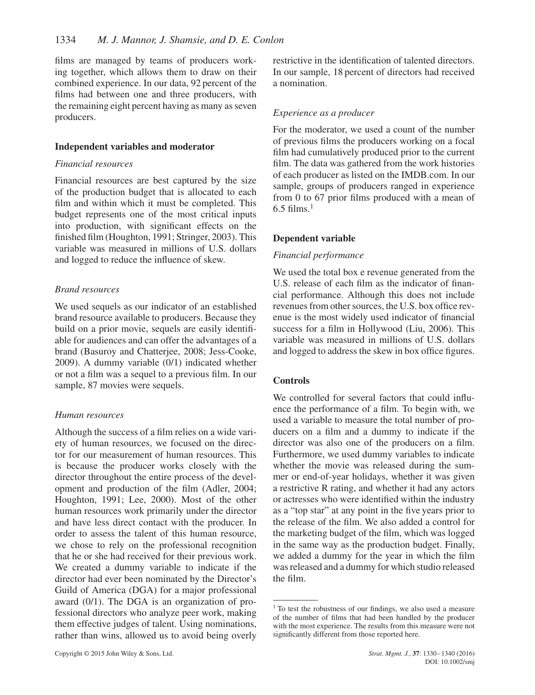films are managed by teams of producers working together, which allows them to draw on their combined experience. In our data, 92 percent of the films had between one and three producers, with the remaining eight percent having as many as seven producers.

#### **Independent variables and moderator**

#### *Financial resources*

Financial resources are best captured by the size of the production budget that is allocated to each film and within which it must be completed. This budget represents one of the most critical inputs into production, with significant effects on the finished film (Houghton, 1991; Stringer, 2003). This variable was measured in millions of U.S. dollars and logged to reduce the influence of skew.

## *Brand resources*

We used sequels as our indicator of an established brand resource available to producers. Because they build on a prior movie, sequels are easily identifiable for audiences and can offer the advantages of a brand (Basuroy and Chatterjee, 2008; Jess-Cooke, 2009). A dummy variable (0/1) indicated whether or not a film was a sequel to a previous film. In our sample, 87 movies were sequels.

## *Human resources*

Although the success of a film relies on a wide variety of human resources, we focused on the director for our measurement of human resources. This is because the producer works closely with the director throughout the entire process of the development and production of the film (Adler, 2004; Houghton, 1991; Lee, 2000). Most of the other human resources work primarily under the director and have less direct contact with the producer. In order to assess the talent of this human resource, we chose to rely on the professional recognition that he or she had received for their previous work. We created a dummy variable to indicate if the director had ever been nominated by the Director's Guild of America (DGA) for a major professional award (0/1). The DGA is an organization of professional directors who analyze peer work, making them effective judges of talent. Using nominations, rather than wins, allowed us to avoid being overly

restrictive in the identification of talented directors. In our sample, 18 percent of directors had received a nomination.

# *Experience as a producer*

For the moderator, we used a count of the number of previous films the producers working on a focal film had cumulatively produced prior to the current film. The data was gathered from the work histories of each producer as listed on the IMDB.com. In our sample, groups of producers ranged in experience from 0 to 67 prior films produced with a mean of  $6.5$  films.<sup>1</sup>

## **Dependent variable**

#### *Financial performance*

We used the total box e revenue generated from the U.S. release of each film as the indicator of financial performance. Although this does not include revenues from other sources, the U.S. box office revenue is the most widely used indicator of financial success for a film in Hollywood (Liu, 2006). This variable was measured in millions of U.S. dollars and logged to address the skew in box office figures.

## **Controls**

We controlled for several factors that could influence the performance of a film. To begin with, we used a variable to measure the total number of producers on a film and a dummy to indicate if the director was also one of the producers on a film. Furthermore, we used dummy variables to indicate whether the movie was released during the summer or end-of-year holidays, whether it was given a restrictive R rating, and whether it had any actors or actresses who were identified within the industry as a "top star" at any point in the five years prior to the release of the film. We also added a control for the marketing budget of the film, which was logged in the same way as the production budget. Finally, we added a dummy for the year in which the film was released and a dummy for which studio released the film.

<sup>&</sup>lt;sup>1</sup> To test the robustness of our findings, we also used a measure of the number of films that had been handled by the producer with the most experience. The results from this measure were not significantly different from those reported here.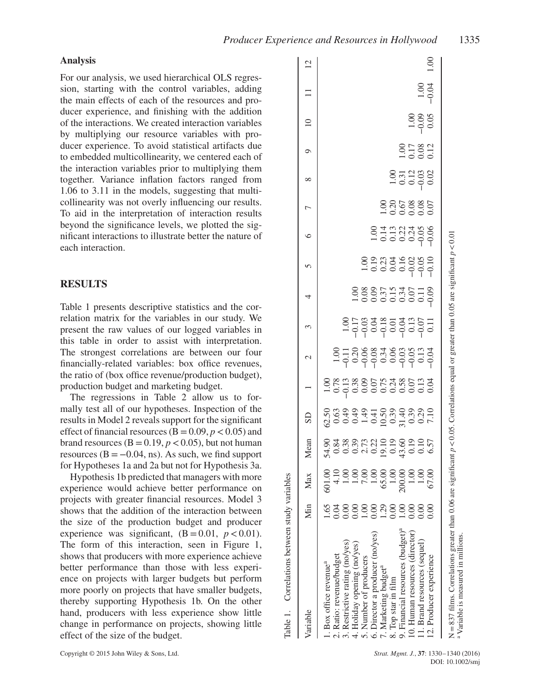#### **Analysis**

For our analysis, we used hierarchical OLS regression, starting with the control variables, adding the main effects of each of the resources and producer experience, and finishing with the addition of the interactions. We created interaction variables by multiplying our resource variables with producer experience. To avoid statistical artifacts due to embedded multicollinearity, we centered each of the interaction variables prior to multiplying them together. Variance inflation factors ranged from 1.06 to 3.11 in the models, suggesting that multicollinearity was not overly influencing our results. To aid in the interpretation of interaction results beyond the significance levels, we plotted the significant interactions to illustrate better the nature of each interaction.

#### **RESULTS**

Table 1 presents descriptive statistics and the correlation matrix for the variables in our study. We present the raw values of our logged variables in this table in order to assist with interpretation. The strongest correlations are between our four financially-related variables: box office revenues, the ratio of (box office revenue/production budget), production budget and marketing budget.

The regressions in Table 2 allow us to formally test all of our hypotheses. Inspection of the results in Model 2 reveals support for the significant effect of financial resources ( $B = 0.09$ ,  $p < 0.05$ ) and brand resources  $(B = 0.19, p < 0.05)$ , but not human resources ( $B = -0.04$ , ns). As such, we find support for Hypotheses 1a and 2a but not for Hypothesis 3a.

Hypothesis 1b predicted that managers with more experience would achieve better performance on projects with greater financial resources. Model 3 shows that the addition of the interaction between the size of the production budget and producer experience was significant,  $(B = 0.01, p < 0.01)$ . The form of this interaction, seen in Figure 1, shows that producers with more experience achieve better performance than those with less experience on projects with larger budgets but perform more poorly on projects that have smaller budgets, thereby supporting Hypothesis 1b. On the other hand, producers with less experience show little change in performance on projects, showing little effect of the size of the budget.

|                                                        | Max                      | Mean                              | $\overline{S}$ |                               | $\mathcal{L}$ | $\epsilon$                | 4 | $\sigma$                           | $\circ$                       | $\overline{ }$ | ∞       | $\circ$               | $\supseteq$                                          |         | $\overline{c}$ |
|--------------------------------------------------------|--------------------------|-----------------------------------|----------------|-------------------------------|---------------|---------------------------|---|------------------------------------|-------------------------------|----------------|---------|-----------------------|------------------------------------------------------|---------|----------------|
| 1.65<br>l. Box office revenue <sup>a</sup>             | 601.00                   |                                   |                |                               |               |                           |   |                                    |                               |                |         |                       |                                                      |         |                |
| 5.04<br>2. Ratio: revenue/budget                       | 4.10                     | 83388539889955<br>833885399899955 |                | 8898865838653<br>889886583865 |               |                           |   |                                    |                               |                |         |                       |                                                      |         |                |
| S.í<br>3. Restrictive rating (no/yes)                  |                          |                                   |                |                               |               |                           |   |                                    |                               |                |         |                       |                                                      |         |                |
| 4. Holiday opening (no/yes)                            |                          |                                   |                |                               |               | 80783883807<br>8090909090 |   |                                    |                               |                |         |                       |                                                      |         |                |
| 5. Number of producers                                 |                          |                                   |                |                               |               |                           |   |                                    |                               |                |         |                       |                                                      |         |                |
| 6. Director a producer (no/yes)                        |                          |                                   |                |                               |               |                           |   |                                    |                               |                |         |                       |                                                      |         |                |
| 7. Marketing budget <sup>a</sup>                       | 65.00                    |                                   |                |                               |               |                           |   |                                    |                               |                |         |                       |                                                      |         |                |
| 500<br>8. Top star in film                             | 1.00                     |                                   |                |                               |               |                           |   |                                    |                               |                |         |                       |                                                      |         |                |
| 8<br>C<br>9. Financial resources (budget) <sup>a</sup> | 200.00                   |                                   |                |                               |               |                           |   |                                    |                               |                |         |                       |                                                      |         |                |
| 10. Human resources (director)                         | 1.00                     |                                   |                |                               |               |                           |   |                                    |                               |                |         |                       |                                                      |         |                |
| 00 <sub>1</sub><br>11. Brand resources (sequel)        | $\widetilde{\mathrm{S}}$ |                                   |                |                               |               |                           |   | 8 9 8 3 4 9 8 9<br>8 9 8 9 9 9 9 9 | 0113330<br>01133400<br>000000 |                | 3710000 | 1.00<br>0.17<br>0.012 | $\begin{array}{c} 1.00 \\ -0.05 \\ 0.05 \end{array}$ | $-0.04$ |                |
| 0.00<br>12. Producer experience                        | 67.00                    |                                   |                |                               |               |                           |   |                                    |                               |                |         |                       |                                                      |         | $\frac{8}{1}$  |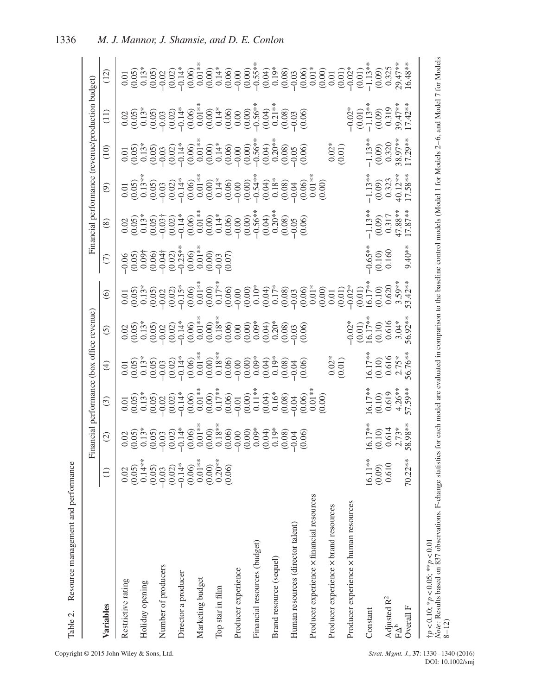|                                                                                                                                                                                                                                                |                             | Financial performance (box office revenue)             |                                                                         |                                                         |                                                                                                                                                                                                                                                                                                               |                                                                      |                                          |                                                 |                                                                                        |                                                                | Financial performance (revenue/production budget)       |                                                                                      |
|------------------------------------------------------------------------------------------------------------------------------------------------------------------------------------------------------------------------------------------------|-----------------------------|--------------------------------------------------------|-------------------------------------------------------------------------|---------------------------------------------------------|---------------------------------------------------------------------------------------------------------------------------------------------------------------------------------------------------------------------------------------------------------------------------------------------------------------|----------------------------------------------------------------------|------------------------------------------|-------------------------------------------------|----------------------------------------------------------------------------------------|----------------------------------------------------------------|---------------------------------------------------------|--------------------------------------------------------------------------------------|
| Variables                                                                                                                                                                                                                                      | $\ominus$                   | $\widehat{\mathcal{O}}$                                | $\odot$                                                                 | $\bigoplus$                                             | $\odot$                                                                                                                                                                                                                                                                                                       | $\circledcirc$                                                       | $\widehat{C}$                            | $\circledast$                                   | ම                                                                                      | $\widehat{=}$                                                  | (11)                                                    | (12)                                                                                 |
| Restrictive rating                                                                                                                                                                                                                             |                             | (0.05)<br>0.02                                         | $\begin{array}{c} 0.01 \\ 0.05 \end{array}$                             | $\begin{array}{c} 0.01 \\ 0.05 \end{array}$<br>0.13*    |                                                                                                                                                                                                                                                                                                               | $\begin{array}{c} 0.01 \\ 0.05 \end{array}$<br>0.13*                 | (0.05)<br>$-0.06$                        | $0.05$<br>$(0.05)$                              | $\begin{array}{c} 0.01 \\ (0.05) \\ 0.13** \end{array}$                                | $\begin{array}{c} 0.01 \\ 0.05 \end{array}$<br>0.13*           | $\begin{array}{c} 0.02 \\ 0.05 \\ 0.13^* \end{array}$   |                                                                                      |
| Holiday opening                                                                                                                                                                                                                                |                             | $0.13*$<br>(0.05)                                      | $0.13*$<br>(0.05)                                                       | (0.05)                                                  |                                                                                                                                                                                                                                                                                                               | (0.05)                                                               | $0.09\dagger$<br>(0.06)                  | $\big)0.13*$<br>(0.05)                          |                                                                                        | (0.05)                                                         | (0.05)                                                  | $\begin{array}{c} 0.01 \\ 0.05 \\ 0.13^* \\ 0.05 \end{array}$                        |
| Number of producers                                                                                                                                                                                                                            |                             |                                                        |                                                                         |                                                         |                                                                                                                                                                                                                                                                                                               | $-0.02$                                                              |                                          |                                                 |                                                                                        |                                                                |                                                         |                                                                                      |
| Director a producer                                                                                                                                                                                                                            |                             | $-0.03$<br>$-0.02$<br>$-0.14*$<br>$-0.06$<br>$-0.01**$ | $-0.02$<br>$(0.02)$<br>$(0.02)$<br>$-0.14$ *<br>$(0.06)$<br>$(0.01)$ ** | $-0.03$<br>$-0.02$<br>$-0.14$ *<br>$-0.06$<br>$0.06$ ** | $\begin{array}{l} 0.02 \\ 0.05 \\ 0.05 \\ 0.05 \\ 0.05 \\ 0.05 \\ 0.01 \\ 0.01 \\ 0.01 \\ 0.01 \\ 0.01 \\ 0.01 \\ 0.01 \\ 0.01 \\ 0.01 \\ 0.01 \\ 0.01 \\ 0.01 \\ 0.01 \\ 0.01 \\ 0.01 \\ 0.01 \\ 0.01 \\ 0.01 \\ 0.01 \\ 0.01 \\ 0.01 \\ 0.01 \\ 0.01 \\ 0.01 \\ 0.01 \\ 0.01 \\ 0.01 \\ 0.01 \\ 0.01 \\ 0.$ | $(0.02)$<br>$-0.15$ <sup>*</sup><br>$(0.06)$<br>$0.01$ <sup>**</sup> | $-0.04$<br>$-0.02$<br>$-0.25$<br>$-0.06$ | $-0.03$<br>$-0.02$<br>$-0.14$<br>$-0.06$        | $0.05$<br>$0.02$<br>$0.02$<br>$0.05$<br>$0.05$<br>$0.05$<br>$0.05$<br>$0.05$<br>$0.05$ | $-0.03$<br>$-0.02$<br>$-0.14$<br>$+0.66$<br>$-0.05$<br>$+0.01$ | $-0.03$<br>$-0.02$<br>$-0.14$ *<br>$-0.06$<br>$0.01$ ** | $-0.02$<br>$-0.02$<br>$-0.14$<br>$+0.06$<br>$-0.16$<br>$+0.06$<br>$-0.01$<br>$+0.06$ |
| Marketing budget                                                                                                                                                                                                                               |                             |                                                        |                                                                         |                                                         |                                                                                                                                                                                                                                                                                                               |                                                                      | $0.01**$                                 | $0.01**$                                        |                                                                                        |                                                                |                                                         |                                                                                      |
| Top star in film                                                                                                                                                                                                                               |                             | $0.18**$<br>(0.00)                                     | $0.17**$<br>(0.00)                                                      | $0.18**$<br>(0.00)                                      | $0.18**$<br>(0.00)                                                                                                                                                                                                                                                                                            | $0.17***$<br>(0.00)                                                  | (0.00)<br>$-0.03$                        | $0.14*$<br>(0.00)                               | $0.14*$                                                                                | $0.14*$<br>(0.00)                                              | $0.14*$<br>$(0.00)$                                     | $0.14*$<br>(0.00)                                                                    |
| Producer experience                                                                                                                                                                                                                            |                             | (0.06)<br>$-0.00$                                      | (0.06)<br>$-0.01$                                                       | (0.06)<br>$-0.00$                                       | (0.06)                                                                                                                                                                                                                                                                                                        |                                                                      | (0.07)                                   | (0.06)<br>$-0.00$                               | $\begin{array}{c} (0.06) \\ -0.00 \\ 0.00 \\ -0.54^{**} \\ 0.04) \end{array}$          | (0.06)<br>$-0.00$                                              | (0.06)                                                  | (0.06)                                                                               |
| Financial resources (budget)                                                                                                                                                                                                                   |                             | $(0.00)$<br>$(0.04)$<br>$(0.03)$<br>$(0.08)$           | $\stackrel{(0.00)}{0.11**}$                                             | $(0.00)$<br>$(0.04)$<br>$(0.04)$<br>$(0.19)$            | $(0.00)$<br>$(0.00)$<br>$(0.00)$<br>$(0.00)$<br>$(0.00)$<br>$(0.08)$                                                                                                                                                                                                                                          |                                                                      |                                          | $(0.00)$<br>$-0.56***$<br>$(0.04)$<br>$0.20***$ |                                                                                        | $(0.00)$<br>$-0.56**$                                          | $0.00$<br>$(0.00)$<br>$-0.56**$<br>$(0.04)$<br>$0.21**$ | $-0.00$<br>$-0.00$<br>$-0.5$<br>$-0.00$<br>$-0.00$<br>$-0.00$<br>$-0.00$<br>$-0.00$  |
|                                                                                                                                                                                                                                                |                             |                                                        | (0.04)                                                                  |                                                         |                                                                                                                                                                                                                                                                                                               |                                                                      |                                          |                                                 |                                                                                        | $\begin{array}{c} (0.04) \\ 0.20** \end{array}$                |                                                         |                                                                                      |
| Brand resource (sequel)                                                                                                                                                                                                                        |                             |                                                        | $0.16*$<br>(0.08)                                                       | (0.08)                                                  |                                                                                                                                                                                                                                                                                                               |                                                                      |                                          | (0.08)                                          | $0.18*$<br>(0.08)                                                                      | (0.08)                                                         | (0.08)                                                  |                                                                                      |
| Human resources (director talent)                                                                                                                                                                                                              |                             | (0.06)<br>$-0.04$                                      | (0.06)<br>$-0.04$                                                       | (0.06)<br>$-0.04$                                       | (0.06)<br>$-0.03$                                                                                                                                                                                                                                                                                             |                                                                      |                                          | (0.06)<br>$-0.05$                               | (0.06)<br>$-0.04$                                                                      | (0.06)<br>$-0.05$                                              | (0.06)<br>$-0.03$                                       |                                                                                      |
| Producer experience $\times$ financial resources                                                                                                                                                                                               |                             |                                                        | $0.01**$                                                                |                                                         |                                                                                                                                                                                                                                                                                                               |                                                                      |                                          |                                                 | $\frac{0.01}{0.00}$                                                                    |                                                                |                                                         |                                                                                      |
| Producer experience x brand resources                                                                                                                                                                                                          |                             |                                                        | (0.00)                                                                  | $0.02*$<br>(0.01)                                       |                                                                                                                                                                                                                                                                                                               |                                                                      |                                          |                                                 |                                                                                        | $0.02*$<br>(0.01)                                              |                                                         | $(0.05)3$<br>$(0.05)3$<br>$(0.05)3$<br>$(0.05)3$                                     |
| Producer experience x human resources                                                                                                                                                                                                          |                             |                                                        |                                                                         |                                                         | $-0.02*$<br>(0.01)                                                                                                                                                                                                                                                                                            | $-0.02*$<br>(0.01)                                                   |                                          |                                                 |                                                                                        |                                                                | $-0.02*$                                                | $-0.02*$<br>(0.01)                                                                   |
| Constant                                                                                                                                                                                                                                       | $11**$<br>$\overline{16}$ . | $6.17**$<br>(0.10)                                     | 6.17**<br>(0.10)                                                        | $16.17***$<br>(0.10)                                    | 16.17**<br>(0.10)                                                                                                                                                                                                                                                                                             | 16.17**<br>(0.10)                                                    | $-0.65**$                                | $1.13**$<br>(0.09)                              | $-1.13**$                                                                              | $-1.13**$<br>(0.09)                                            | $-1.13**$<br>(0.09)<br>(0.01)                           | $-1.13***$<br>(0.09)                                                                 |
| Adjusted R <sup>2</sup>                                                                                                                                                                                                                        | 610<br>$(0.09)$<br>0.610    | 0.614                                                  | 0.619                                                                   | 0.616                                                   | 0.616                                                                                                                                                                                                                                                                                                         | 0.620                                                                | 0.160<br>(0.10)                          | 0.317                                           | $(0.09)$<br>0.323                                                                      | 0.320                                                          | 0.319                                                   | 0.325                                                                                |
| Overall F<br>$FA^b$                                                                                                                                                                                                                            | $.22**$<br>70.              | 58.98**<br>$2.73*$                                     | $4.26**$<br>57.59**                                                     | 56.76**<br>$2.75*$                                      | 56.92**<br>$3.04*$                                                                                                                                                                                                                                                                                            | $53.42**$<br>$3.59***$                                               | $9.40**$                                 | 47.88**<br>$17.87**$                            | 40.12**<br>$17.58**$                                                                   | 38.97**<br>$17.29**$                                           | 39.47**<br>$7.42**$                                     | $29.47***$<br>$6.48**$                                                               |
| Note: Results based on 837 observations. F-change statistics for each model are evaluated in comparison to the baseline control models (Model 1 for Models 2-6, and Model 7 for Models<br>$\frac{1}{1}p < 0.10$ ; * $p < 0.05$ ; ** $p < 0.01$ |                             |                                                        |                                                                         |                                                         |                                                                                                                                                                                                                                                                                                               |                                                                      |                                          |                                                 |                                                                                        |                                                                |                                                         |                                                                                      |

8–12)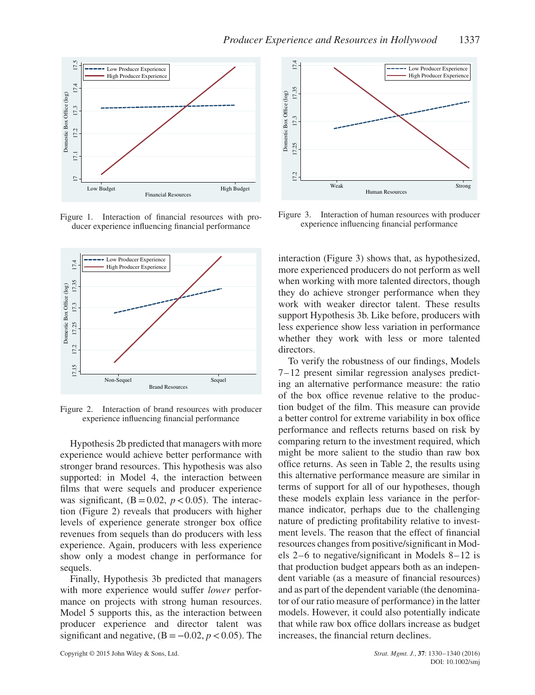

Figure 1. Interaction of financial resources with producer experience influencing financial performance



Figure 2. Interaction of brand resources with producer experience influencing financial performance

Hypothesis 2b predicted that managers with more experience would achieve better performance with stronger brand resources. This hypothesis was also supported: in Model 4, the interaction between films that were sequels and producer experience was significant,  $(B = 0.02, p < 0.05)$ . The interaction (Figure 2) reveals that producers with higher levels of experience generate stronger box office revenues from sequels than do producers with less experience. Again, producers with less experience show only a modest change in performance for sequels.

Finally, Hypothesis 3b predicted that managers with more experience would suffer *lower* performance on projects with strong human resources. Model 5 supports this, as the interaction between producer experience and director talent was significant and negative,  $(B = -0.02, p < 0.05)$ . The



Figure 3. Interaction of human resources with producer experience influencing financial performance

interaction (Figure 3) shows that, as hypothesized, more experienced producers do not perform as well when working with more talented directors, though they do achieve stronger performance when they work with weaker director talent. These results support Hypothesis 3b. Like before, producers with less experience show less variation in performance whether they work with less or more talented directors.

To verify the robustness of our findings, Models 7–12 present similar regression analyses predicting an alternative performance measure: the ratio of the box office revenue relative to the production budget of the film. This measure can provide a better control for extreme variability in box office performance and reflects returns based on risk by comparing return to the investment required, which might be more salient to the studio than raw box office returns. As seen in Table 2, the results using this alternative performance measure are similar in terms of support for all of our hypotheses, though these models explain less variance in the performance indicator, perhaps due to the challenging nature of predicting profitability relative to investment levels. The reason that the effect of financial resources changes from positive/significant in Models 2–6 to negative/significant in Models 8–12 is that production budget appears both as an independent variable (as a measure of financial resources) and as part of the dependent variable (the denominator of our ratio measure of performance) in the latter models. However, it could also potentially indicate that while raw box office dollars increase as budget increases, the financial return declines.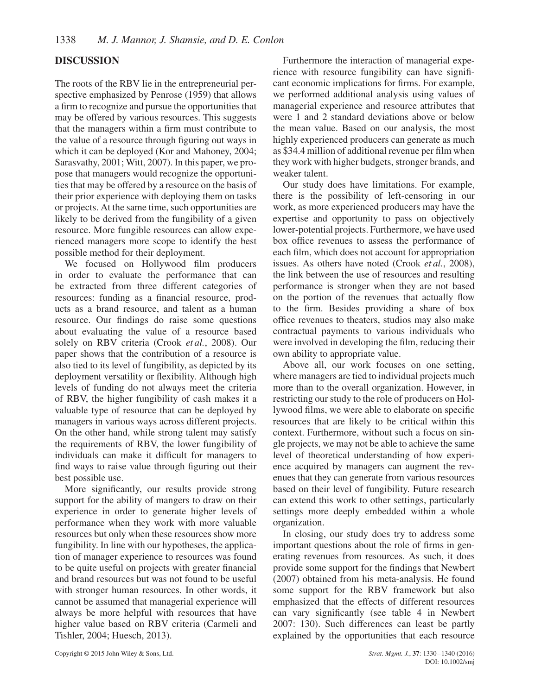# **DISCUSSION**

The roots of the RBV lie in the entrepreneurial perspective emphasized by Penrose (1959) that allows a firm to recognize and pursue the opportunities that may be offered by various resources. This suggests that the managers within a firm must contribute to the value of a resource through figuring out ways in which it can be deployed (Kor and Mahoney, 2004; Sarasvathy, 2001; Witt, 2007). In this paper, we propose that managers would recognize the opportunities that may be offered by a resource on the basis of their prior experience with deploying them on tasks or projects. At the same time, such opportunities are likely to be derived from the fungibility of a given resource. More fungible resources can allow experienced managers more scope to identify the best possible method for their deployment.

We focused on Hollywood film producers in order to evaluate the performance that can be extracted from three different categories of resources: funding as a financial resource, products as a brand resource, and talent as a human resource. Our findings do raise some questions about evaluating the value of a resource based solely on RBV criteria (Crook *et al.*, 2008). Our paper shows that the contribution of a resource is also tied to its level of fungibility, as depicted by its deployment versatility or flexibility. Although high levels of funding do not always meet the criteria of RBV, the higher fungibility of cash makes it a valuable type of resource that can be deployed by managers in various ways across different projects. On the other hand, while strong talent may satisfy the requirements of RBV, the lower fungibility of individuals can make it difficult for managers to find ways to raise value through figuring out their best possible use.

More significantly, our results provide strong support for the ability of mangers to draw on their experience in order to generate higher levels of performance when they work with more valuable resources but only when these resources show more fungibility. In line with our hypotheses, the application of manager experience to resources was found to be quite useful on projects with greater financial and brand resources but was not found to be useful with stronger human resources. In other words, it cannot be assumed that managerial experience will always be more helpful with resources that have higher value based on RBV criteria (Carmeli and Tishler, 2004; Huesch, 2013).

Furthermore the interaction of managerial experience with resource fungibility can have significant economic implications for firms. For example, we performed additional analysis using values of managerial experience and resource attributes that were 1 and 2 standard deviations above or below the mean value. Based on our analysis, the most highly experienced producers can generate as much as \$34.4 million of additional revenue per film when they work with higher budgets, stronger brands, and weaker talent.

Our study does have limitations. For example, there is the possibility of left-censoring in our work, as more experienced producers may have the expertise and opportunity to pass on objectively lower-potential projects. Furthermore, we have used box office revenues to assess the performance of each film, which does not account for appropriation issues. As others have noted (Crook *et al.*, 2008), the link between the use of resources and resulting performance is stronger when they are not based on the portion of the revenues that actually flow to the firm. Besides providing a share of box office revenues to theaters, studios may also make contractual payments to various individuals who were involved in developing the film, reducing their own ability to appropriate value.

Above all, our work focuses on one setting, where managers are tied to individual projects much more than to the overall organization. However, in restricting our study to the role of producers on Hollywood films, we were able to elaborate on specific resources that are likely to be critical within this context. Furthermore, without such a focus on single projects, we may not be able to achieve the same level of theoretical understanding of how experience acquired by managers can augment the revenues that they can generate from various resources based on their level of fungibility. Future research can extend this work to other settings, particularly settings more deeply embedded within a whole organization.

In closing, our study does try to address some important questions about the role of firms in generating revenues from resources. As such, it does provide some support for the findings that Newbert (2007) obtained from his meta-analysis. He found some support for the RBV framework but also emphasized that the effects of different resources can vary significantly (see table 4 in Newbert 2007: 130). Such differences can least be partly explained by the opportunities that each resource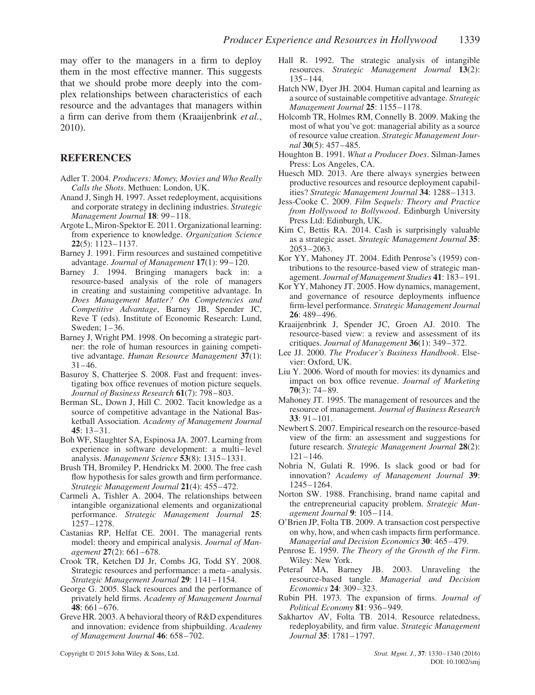may offer to the managers in a firm to deploy them in the most effective manner. This suggests that we should probe more deeply into the complex relationships between characteristics of each resource and the advantages that managers within a firm can derive from them (Kraaijenbrink *et al.*, 2010).

# **REFERENCES**

- Adler T. 2004. *Producers: Money, Movies and Who Really Calls the Shots*. Methuen: London, UK.
- Anand J, Singh H. 1997. Asset redeployment, acquisitions and corporate strategy in declining industries. *Strategic Management Journal* **18**: 99–118.
- Argote L, Miron-Spektor E. 2011. Organizational learning: from experience to knowledge. *Organization Science* **22**(5): 1123–1137.
- Barney J. 1991. Firm resources and sustained competitive advantage. *Journal of Management* **17**(1): 99–120.
- Barney J. 1994. Bringing managers back in: a resource-based analysis of the role of managers in creating and sustaining competitive advantage. In *Does Management Matter? On Competencies and Competitive Advantage*, Barney JB, Spender JC, Reve T (eds). Institute of Economic Research: Lund, Sweden; 1–36.
- Barney J, Wright PM. 1998. On becoming a strategic partner: the role of human resources in gaining competitive advantage. *Human Resource Management* **37**(1): 31–46.
- Basuroy S, Chatterjee S. 2008. Fast and frequent: investigating box office revenues of motion picture sequels. *Journal of Business Research* **61**(7): 798–803.
- Berman SL, Down J, Hill C. 2002. Tacit knowledge as a source of competitive advantage in the National Basketball Association. *Academy of Management Journal* **45**: 13–31.
- Boh WF, Slaughter SA, Espinosa JA. 2007. Learning from experience in software development: a multi–level analysis. *Management Science* **53**(8): 1315–1331.
- Brush TH, Bromiley P, Hendrickx M. 2000. The free cash flow hypothesis for sales growth and firm performance. *Strategic Management Journal* **21**(4): 455–472.
- Carmeli A, Tishler A. 2004. The relationships between intangible organizational elements and organizational performance. *Strategic Management Journal* **25**: 1257–1278.
- Castanias RP, Helfat CE. 2001. The managerial rents model: theory and empirical analysis. *Journal of Management* **27**(2): 661–678.
- Crook TR, Ketchen DJ Jr, Combs JG, Todd SY. 2008. Strategic resources and performance: a meta–analysis. *Strategic Management Journal* **29**: 1141–1154.
- George G. 2005. Slack resources and the performance of privately held firms. *Academy of Management Journal* **48**: 661–676.
- Greve HR. 2003. A behavioral theory of R&D expenditures and innovation: evidence from shipbuilding. *Academy of Management Journal* **46**: 658–702.
- Hall R. 1992. The strategic analysis of intangible resources. *Strategic Management Journal* **13**(2): 135–144.
- Hatch NW, Dyer JH. 2004. Human capital and learning as a source of sustainable competitive advantage. *Strategic Management Journal* **25**: 1155–1178.
- Holcomb TR, Holmes RM, Connelly B. 2009. Making the most of what you've got: managerial ability as a source of resource value creation. *Strategic Management Journal* **30**(5): 457–485.
- Houghton B. 1991. *What a Producer Does*. Silman-James Press: Los Angeles, CA.
- Huesch MD. 2013. Are there always synergies between productive resources and resource deployment capabilities? *Strategic Management Journal* **34**: 1288–1313.
- Jess-Cooke C. 2009. *Film Sequels: Theory and Practice from Hollywood to Bollywood*. Edinburgh University Press Ltd: Edinburgh, UK.
- Kim C, Bettis RA. 2014. Cash is surprisingly valuable as a strategic asset. *Strategic Management Journal* **35**: 2053–2063.
- Kor YY, Mahoney JT. 2004. Edith Penrose's (1959) contributions to the resource-based view of strategic management. *Journal of Management Studies* **41**: 183–191.
- Kor YY, Mahoney JT. 2005. How dynamics, management, and governance of resource deployments influence firm-level performance. *Strategic Management Journal* **26**: 489–496.
- Kraaijenbrink J, Spender JC, Groen AJ. 2010. The resource-based view: a review and assessment of its critiques. *Journal of Management* **36**(1): 349–372.
- Lee JJ. 2000. *The Producer's Business Handbook*. Elsevier: Oxford, UK.
- Liu Y. 2006. Word of mouth for movies: its dynamics and impact on box office revenue. *Journal of Marketing* **70**(3): 74–89.
- Mahoney JT. 1995. The management of resources and the resource of management. *Journal of Business Research* **33**: 91–101.
- Newbert S. 2007. Empirical research on the resource-based view of the firm: an assessment and suggestions for future research. *Strategic Management Journal* **28**(2): 121–146.
- Nohria N, Gulati R. 1996. Is slack good or bad for innovation? *Academy of Management Journal* **39**: 1245–1264.
- Norton SW. 1988. Franchising, brand name capital and the entrepreneurial capacity problem. *Strategic Management Journal* **9**: 105–114.
- O'Brien JP, Folta TB. 2009. A transaction cost perspective on why, how, and when cash impacts firm performance. *Managerial and Decision Economics* **30**: 465–479.
- Penrose E. 1959. *The Theory of the Growth of the Firm*. Wiley: New York.
- Peteraf MA, Barney JB. 2003. Unraveling the resource-based tangle. *Managerial and Decision Economics* **24**: 309–323.
- Rubin PH. 1973. The expansion of firms. *Journal of Political Economy* **81**: 936–949.
- Sakhartov AV, Folta TB. 2014. Resource relatedness, redeployability, and firm value. *Strategic Management Journal* **35**: 1781–1797.